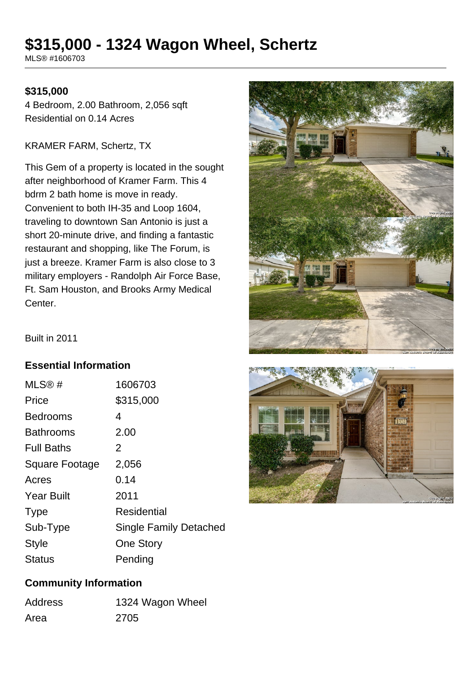# **\$315,000 - 1324 Wagon Wheel, Schertz**

MLS® #1606703

#### **\$315,000**

4 Bedroom, 2.00 Bathroom, 2,056 sqft Residential on 0.14 Acres

#### KRAMER FARM, Schertz, TX

This Gem of a property is located in the sought after neighborhood of Kramer Farm. This 4 bdrm 2 bath home is move in ready. Convenient to both IH-35 and Loop 1604, traveling to downtown San Antonio is just a short 20-minute drive, and finding a fantastic restaurant and shopping, like The Forum, is just a breeze. Kramer Farm is also close to 3 military employers - Randolph Air Force Base, Ft. Sam Houston, and Brooks Army Medical **Center** 



Built in 2011

#### **Essential Information**

| MLS®#             | 1606703                       |
|-------------------|-------------------------------|
| Price             | \$315,000                     |
| <b>Bedrooms</b>   | 4                             |
| <b>Bathrooms</b>  | 2.00                          |
| <b>Full Baths</b> | 2                             |
| Square Footage    | 2,056                         |
| Acres             | 0.14                          |
| <b>Year Built</b> | 2011                          |
| <b>Type</b>       | Residential                   |
| Sub-Type          | <b>Single Family Detached</b> |
| <b>Style</b>      | <b>One Story</b>              |
| Status            | Pending                       |



#### **Community Information**

| <b>Address</b> | 1324 Wagon Wheel |
|----------------|------------------|
| Area           | 2705             |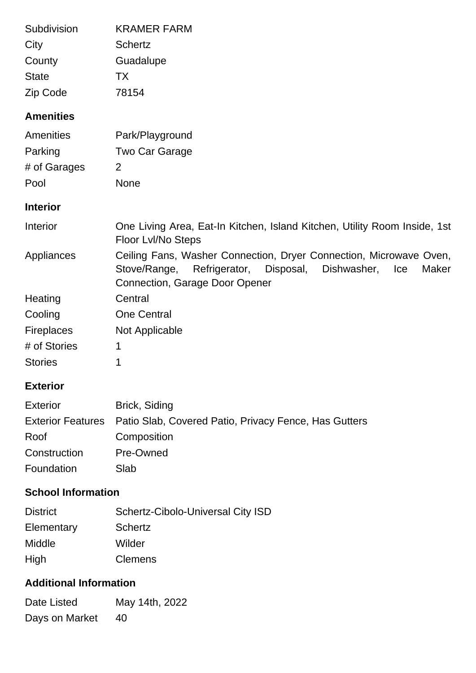| Subdivision       | <b>KRAMER FARM</b>                                                                                                                                                                 |
|-------------------|------------------------------------------------------------------------------------------------------------------------------------------------------------------------------------|
| City              | <b>Schertz</b>                                                                                                                                                                     |
| County            | Guadalupe                                                                                                                                                                          |
| <b>State</b>      | TX                                                                                                                                                                                 |
| Zip Code          | 78154                                                                                                                                                                              |
| <b>Amenities</b>  |                                                                                                                                                                                    |
| Amenities         | Park/Playground                                                                                                                                                                    |
| Parking           | <b>Two Car Garage</b>                                                                                                                                                              |
| # of Garages      | $\overline{2}$                                                                                                                                                                     |
| Pool              | <b>None</b>                                                                                                                                                                        |
| <b>Interior</b>   |                                                                                                                                                                                    |
| Interior          | One Living Area, Eat-In Kitchen, Island Kitchen, Utility Room Inside, 1st<br>Floor Lvl/No Steps                                                                                    |
| Appliances        | Ceiling Fans, Washer Connection, Dryer Connection, Microwave Oven,<br>Stove/Range, Refrigerator, Disposal,<br>Dishwasher,<br>Ice<br>Maker<br><b>Connection, Garage Door Opener</b> |
| Heating           | Central                                                                                                                                                                            |
| Cooling           | <b>One Central</b>                                                                                                                                                                 |
| <b>Fireplaces</b> | Not Applicable                                                                                                                                                                     |
| # of Stories      | 1                                                                                                                                                                                  |
| <b>Stories</b>    | 1                                                                                                                                                                                  |

# **Exterior**

| <b>Exterior</b> | Brick, Siding                                                           |
|-----------------|-------------------------------------------------------------------------|
|                 | Exterior Features Patio Slab, Covered Patio, Privacy Fence, Has Gutters |
| Roof            | Composition                                                             |
| Construction    | Pre-Owned                                                               |
| Foundation      | Slab                                                                    |

## **School Information**

| <b>District</b> | <b>Schertz-Cibolo-Universal City ISD</b> |
|-----------------|------------------------------------------|
| Elementary      | <b>Schertz</b>                           |
| Middle          | Wilder                                   |
| High            | <b>Clemens</b>                           |

## **Additional Information**

| Date Listed    | May 14th, 2022 |
|----------------|----------------|
| Days on Market | 40             |